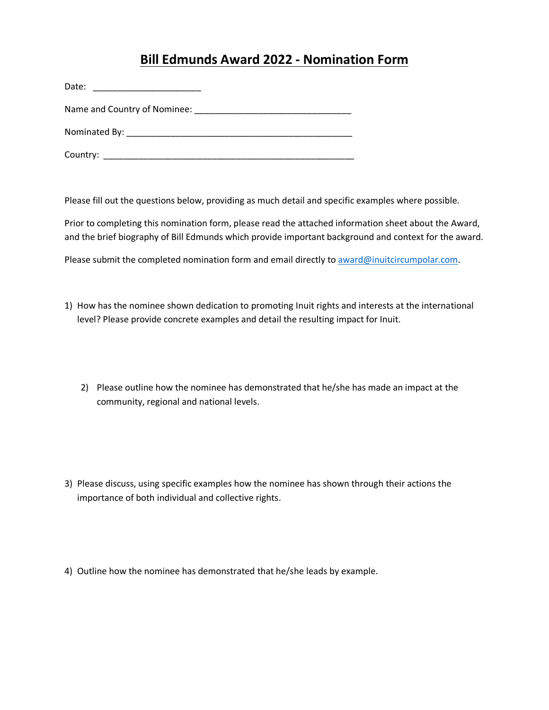# **Bill Edmunds Award 2022 - Nomination Form**

| Date: |  |
|-------|--|
|       |  |
|       |  |
|       |  |

Please fill out the questions below, providing as much detail and specific examples where possible.

Prior to completing this nomination form, please read the attached information sheet about the Award, and the brief biography of Bill Edmunds which provide important background and context for the award.

Please submit the completed nomination form and email directly to [award@inuitcircumpolar.com.](mailto:award@inuitcircumpolar.com)

- 1) How has the nominee shown dedication to promoting Inuit rights and interests at the international level? Please provide concrete examples and detail the resulting impact for Inuit.
	- 2) Please outline how the nominee has demonstrated that he/she has made an impact at the community, regional and national levels.
- 3) Please discuss, using specific examples how the nominee has shown through their actions the importance of both individual and collective rights.
- 4) Outline how the nominee has demonstrated that he/she leads by example.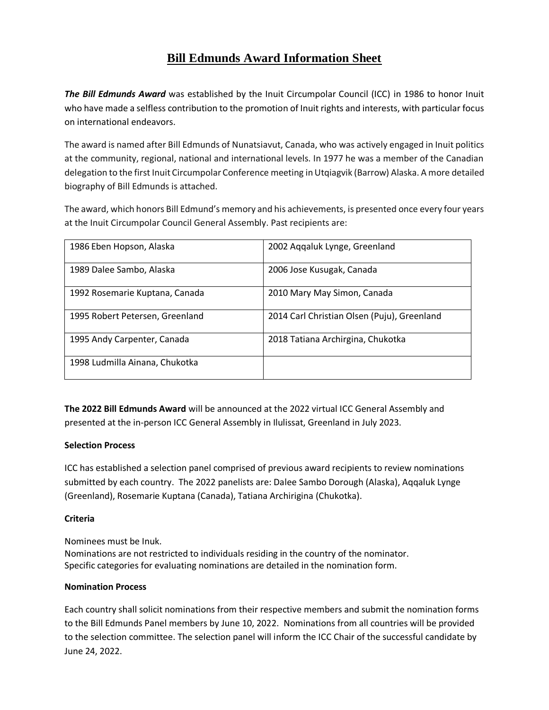## **Bill Edmunds Award Information Sheet**

*The Bill Edmunds Award* was established by the Inuit Circumpolar Council (ICC) in 1986 to honor Inuit who have made a selfless contribution to the promotion of Inuit rights and interests, with particular focus on international endeavors.

The award is named after Bill Edmunds of Nunatsiavut, Canada, who was actively engaged in Inuit politics at the community, regional, national and international levels. In 1977 he was a member of the Canadian delegation to the first Inuit Circumpolar Conference meeting in Utqiagvik (Barrow) Alaska. A more detailed biography of Bill Edmunds is attached.

The award, which honors Bill Edmund's memory and his achievements, is presented once every four years at the Inuit Circumpolar Council General Assembly. Past recipients are:

| 1986 Eben Hopson, Alaska        | 2002 Aqqaluk Lynge, Greenland               |
|---------------------------------|---------------------------------------------|
| 1989 Dalee Sambo, Alaska        | 2006 Jose Kusugak, Canada                   |
| 1992 Rosemarie Kuptana, Canada  | 2010 Mary May Simon, Canada                 |
| 1995 Robert Petersen, Greenland | 2014 Carl Christian Olsen (Puju), Greenland |
| 1995 Andy Carpenter, Canada     | 2018 Tatiana Archirgina, Chukotka           |
| 1998 Ludmilla Ainana, Chukotka  |                                             |

**The 2022 Bill Edmunds Award** will be announced at the 2022 virtual ICC General Assembly and presented at the in-person ICC General Assembly in Ilulissat, Greenland in July 2023.

#### **Selection Process**

ICC has established a selection panel comprised of previous award recipients to review nominations submitted by each country. The 2022 panelists are: Dalee Sambo Dorough (Alaska), Aqqaluk Lynge (Greenland), Rosemarie Kuptana (Canada), Tatiana Archirigina (Chukotka).

#### **Criteria**

Nominees must be Inuk. Nominations are not restricted to individuals residing in the country of the nominator. Specific categories for evaluating nominations are detailed in the nomination form.

#### **Nomination Process**

Each country shall solicit nominations from their respective members and submit the nomination forms to the Bill Edmunds Panel members by June 10, 2022. Nominations from all countries will be provided to the selection committee. The selection panel will inform the ICC Chair of the successful candidate by June 24, 2022.